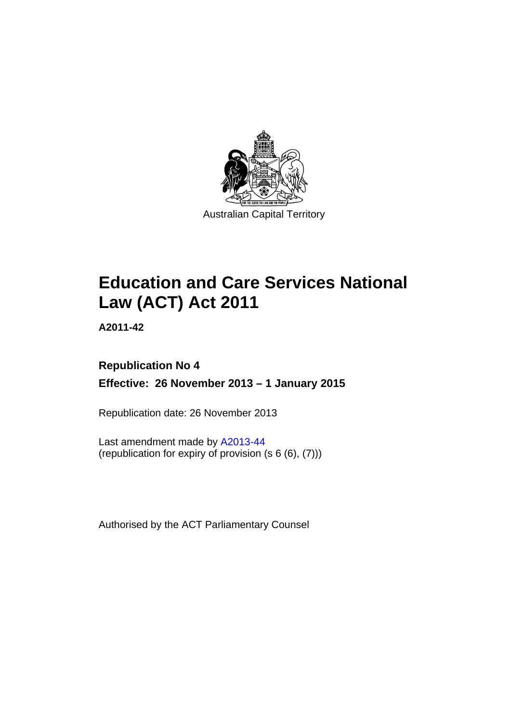

# **Education and Care Services National Law (ACT) Act 2011**

**A2011-42** 

# **Republication No 4 Effective: 26 November 2013 – 1 January 2015**

Republication date: 26 November 2013

Last amendment made by [A2013-44](http://www.legislation.act.gov.au/a/2013-44/default.asp) (republication for expiry of provision  $(s 6 (6), (7))$ )

Authorised by the ACT Parliamentary Counsel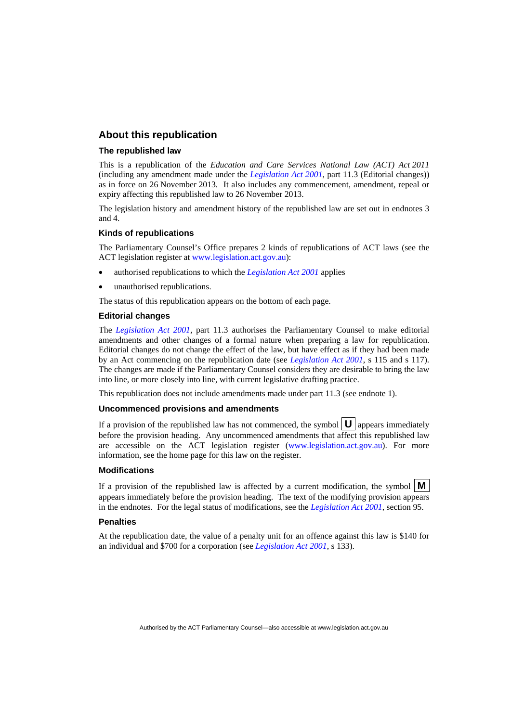#### **About this republication**

#### **The republished law**

This is a republication of the *Education and Care Services National Law (ACT) Act 2011* (including any amendment made under the *[Legislation Act 2001](http://www.legislation.act.gov.au/a/2001-14)*, part 11.3 (Editorial changes)) as in force on 26 November 2013*.* It also includes any commencement, amendment, repeal or expiry affecting this republished law to 26 November 2013.

The legislation history and amendment history of the republished law are set out in endnotes 3 and 4.

#### **Kinds of republications**

The Parliamentary Counsel's Office prepares 2 kinds of republications of ACT laws (see the ACT legislation register at [www.legislation.act.gov.au](http://www.legislation.act.gov.au/)):

- authorised republications to which the *[Legislation Act 2001](http://www.legislation.act.gov.au/a/2001-14)* applies
- unauthorised republications.

The status of this republication appears on the bottom of each page.

#### **Editorial changes**

The *[Legislation Act 2001](http://www.legislation.act.gov.au/a/2001-14)*, part 11.3 authorises the Parliamentary Counsel to make editorial amendments and other changes of a formal nature when preparing a law for republication. Editorial changes do not change the effect of the law, but have effect as if they had been made by an Act commencing on the republication date (see *[Legislation Act 2001](http://www.legislation.act.gov.au/a/2001-14)*, s 115 and s 117). The changes are made if the Parliamentary Counsel considers they are desirable to bring the law into line, or more closely into line, with current legislative drafting practice.

This republication does not include amendments made under part 11.3 (see endnote 1).

#### **Uncommenced provisions and amendments**

If a provision of the republished law has not commenced, the symbol  $\mathbf{U}$  appears immediately before the provision heading. Any uncommenced amendments that affect this republished law are accessible on the ACT legislation register [\(www.legislation.act.gov.au\)](http://www.legislation.act.gov.au/). For more information, see the home page for this law on the register.

#### **Modifications**

If a provision of the republished law is affected by a current modification, the symbol  $\mathbf{M}$ appears immediately before the provision heading. The text of the modifying provision appears in the endnotes. For the legal status of modifications, see the *[Legislation Act 2001](http://www.legislation.act.gov.au/a/2001-14)*, section 95.

#### **Penalties**

At the republication date, the value of a penalty unit for an offence against this law is \$140 for an individual and \$700 for a corporation (see *[Legislation Act 2001](http://www.legislation.act.gov.au/a/2001-14)*, s 133).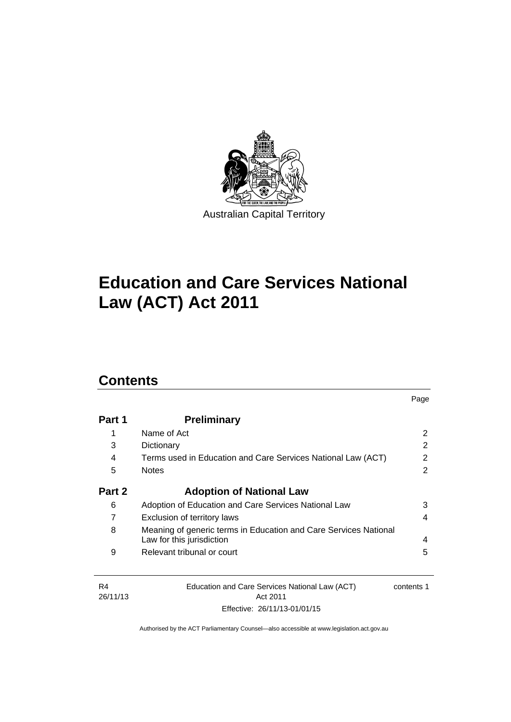

# **Education and Care Services National Law (ACT) Act 2011**

# **Contents**

| Part 1 | <b>Preliminary</b>                                                                            |   |
|--------|-----------------------------------------------------------------------------------------------|---|
| 1      | Name of Act                                                                                   | 2 |
| 3      | Dictionary                                                                                    | 2 |
| 4      | Terms used in Education and Care Services National Law (ACT)                                  | 2 |
| 5      | <b>Notes</b>                                                                                  | 2 |
| Part 2 | <b>Adoption of National Law</b>                                                               |   |
| 6      | Adoption of Education and Care Services National Law                                          | 3 |
| 7      | Exclusion of territory laws                                                                   | 4 |
| 8      | Meaning of generic terms in Education and Care Services National<br>Law for this jurisdiction | 4 |
| 9      | Relevant tribunal or court                                                                    | 5 |

Page

| - R4     | Education and Care Services National Law (ACT) | contents 1 |
|----------|------------------------------------------------|------------|
| 26/11/13 | Act 2011                                       |            |
|          | Effective: 26/11/13-01/01/15                   |            |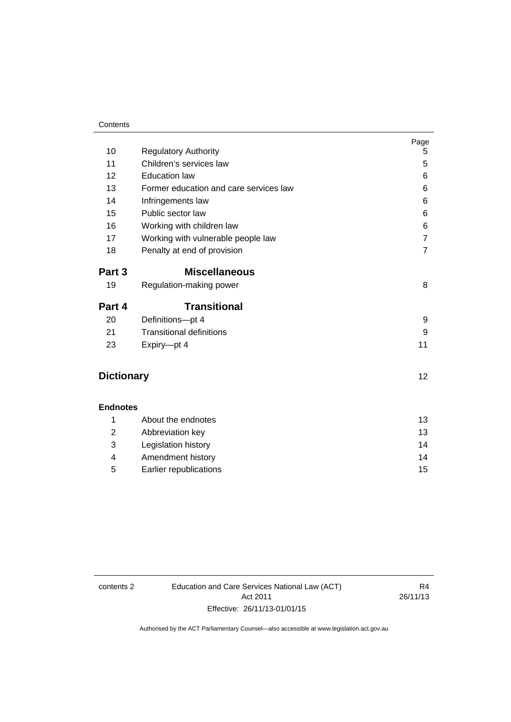#### **Contents**

|                   |                                        | Page           |
|-------------------|----------------------------------------|----------------|
| 10                | <b>Regulatory Authority</b>            | 5              |
| 11                | Children's services law                | 5              |
| 12                | <b>Education law</b>                   | 6              |
| 13                | Former education and care services law | 6              |
| 14                | Infringements law                      | 6              |
| 15                | Public sector law                      | 6              |
| 16                | Working with children law              | 6              |
| 17                | Working with vulnerable people law     | $\overline{7}$ |
| 18                | Penalty at end of provision            | $\overline{7}$ |
| Part 3            | <b>Miscellaneous</b>                   |                |
| 19                | Regulation-making power                | 8              |
| Part 4            | <b>Transitional</b>                    |                |
| 20                | Definitions-pt 4                       | 9              |
| 21                | <b>Transitional definitions</b>        | 9              |
| 23                | Expiry-pt 4                            | 11             |
| <b>Dictionary</b> |                                        | 12             |
|                   |                                        |                |
| <b>Endnotes</b>   |                                        |                |
| 1                 | About the endnotes                     | 13             |
| 2                 | Abbreviation key                       | 13             |
| 3                 | Legislation history                    | 14             |
| 4                 | Amendment history                      | 14             |
| 5                 | Earlier republications                 | 15             |

contents 2 Education and Care Services National Law (ACT) Act 2011 Effective: 26/11/13-01/01/15

R4 26/11/13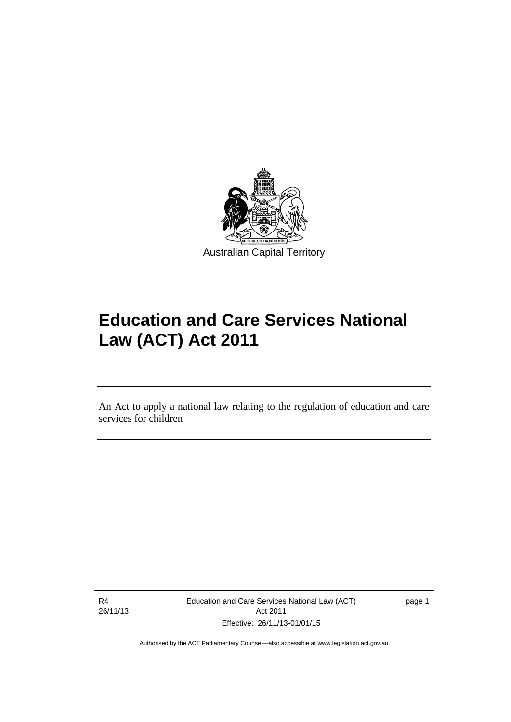

# **Education and Care Services National Law (ACT) Act 2011**

An Act to apply a national law relating to the regulation of education and care services for children

R4 26/11/13

l

Education and Care Services National Law (ACT) Act 2011 Effective: 26/11/13-01/01/15

page 1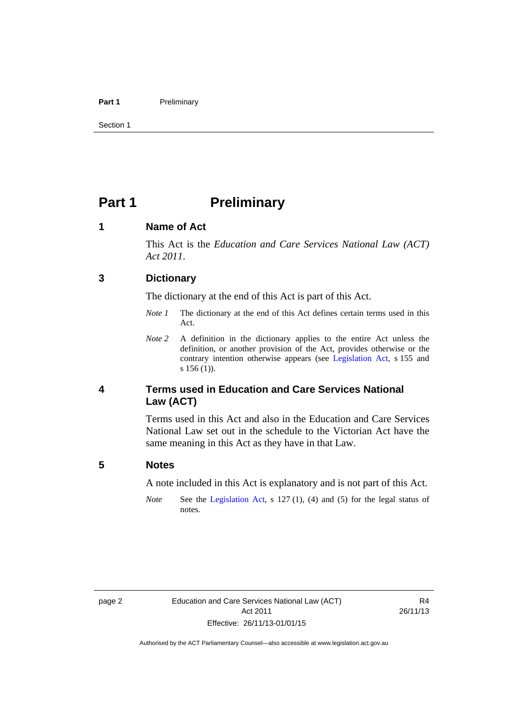#### Part 1 **Preliminary**

Section 1

# <span id="page-5-0"></span>**Part 1** Preliminary

#### <span id="page-5-1"></span>**1 Name of Act**

This Act is the *Education and Care Services National Law (ACT) Act 2011*.

#### <span id="page-5-2"></span>**3 Dictionary**

The dictionary at the end of this Act is part of this Act.

- *Note 1* The dictionary at the end of this Act defines certain terms used in this Act.
- *Note* 2 A definition in the dictionary applies to the entire Act unless the definition, or another provision of the Act, provides otherwise or the contrary intention otherwise appears (see [Legislation Act](http://www.legislation.act.gov.au/a/2001-14), s 155 and s 156 (1)).

### <span id="page-5-3"></span>**4 Terms used in Education and Care Services National Law (ACT)**

Terms used in this Act and also in the Education and Care Services National Law set out in the schedule to the Victorian Act have the same meaning in this Act as they have in that Law.

#### <span id="page-5-4"></span>**5 Notes**

A note included in this Act is explanatory and is not part of this Act.

*Note* See the [Legislation Act,](http://www.legislation.act.gov.au/a/2001-14) s 127 (1), (4) and (5) for the legal status of notes.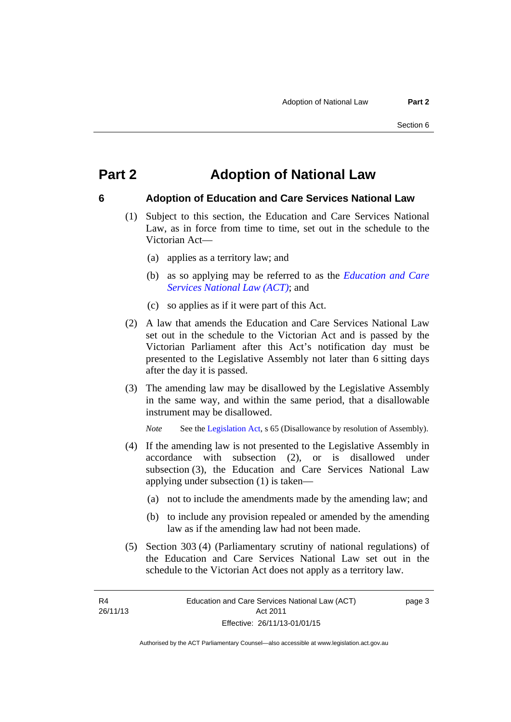# <span id="page-6-0"></span>**Part 2 Adoption of National Law**

### <span id="page-6-1"></span>**6 Adoption of Education and Care Services National Law**

- (1) Subject to this section, the Education and Care Services National Law, as in force from time to time, set out in the schedule to the Victorian Act—
	- (a) applies as a territory law; and
	- (b) as so applying may be referred to as the *[Education and Care](http://www.legislation.act.gov.au/a/db_44782/default.asp)  [Services National Law \(ACT\)](http://www.legislation.act.gov.au/a/db_44782/default.asp)*; and
	- (c) so applies as if it were part of this Act.
- (2) A law that amends the Education and Care Services National Law set out in the schedule to the Victorian Act and is passed by the Victorian Parliament after this Act's notification day must be presented to the Legislative Assembly not later than 6 sitting days after the day it is passed.
- (3) The amending law may be disallowed by the Legislative Assembly in the same way, and within the same period, that a disallowable instrument may be disallowed.

*Note* See the [Legislation Act,](http://www.legislation.act.gov.au/a/2001-14) s 65 (Disallowance by resolution of Assembly).

- (4) If the amending law is not presented to the Legislative Assembly in accordance with subsection (2), or is disallowed under subsection (3), the Education and Care Services National Law applying under subsection (1) is taken—
	- (a) not to include the amendments made by the amending law; and
	- (b) to include any provision repealed or amended by the amending law as if the amending law had not been made.
- (5) Section 303 (4) (Parliamentary scrutiny of national regulations) of the Education and Care Services National Law set out in the schedule to the Victorian Act does not apply as a territory law.

R4 26/11/13 page 3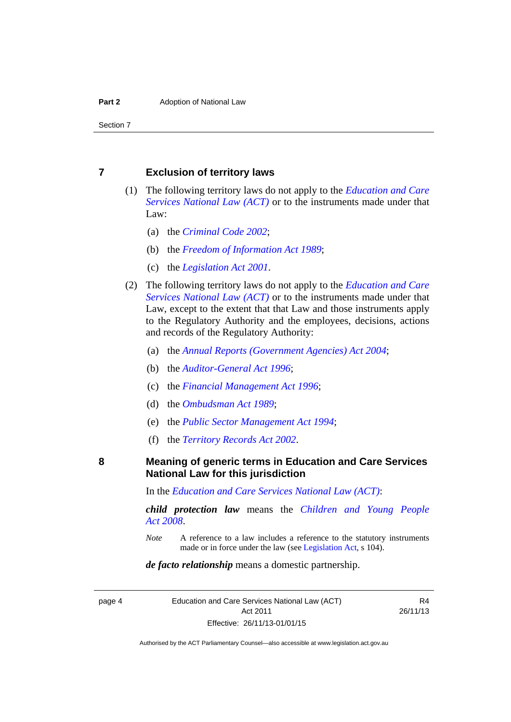#### <span id="page-7-0"></span>**7 Exclusion of territory laws**

- (1) The following territory laws do not apply to the *[Education and Care](http://www.legislation.act.gov.au/a/db_44782/default.asp)  [Services National Law \(ACT\)](http://www.legislation.act.gov.au/a/db_44782/default.asp)* or to the instruments made under that Law:
	- (a) the *[Criminal Code 2002](http://www.legislation.act.gov.au/a/2002-51)*;
	- (b) the *[Freedom of Information Act 1989](http://www.legislation.act.gov.au/a/alt_a1989-46co)*;
	- (c) the *[Legislation Act 2001](http://www.legislation.act.gov.au/a/2001-14)*.
- (2) The following territory laws do not apply to the *[Education and Care](http://www.legislation.act.gov.au/a/db_44782/default.asp)  [Services National Law \(ACT\)](http://www.legislation.act.gov.au/a/db_44782/default.asp)* or to the instruments made under that Law, except to the extent that that Law and those instruments apply to the Regulatory Authority and the employees, decisions, actions and records of the Regulatory Authority:
	- (a) the *[Annual Reports \(Government Agencies\) Act 2004](http://www.legislation.act.gov.au/a/2004-8)*;
	- (b) the *[Auditor-General Act 1996](http://www.legislation.act.gov.au/a/1996-23)*;
	- (c) the *[Financial Management Act 1996](http://www.legislation.act.gov.au/a/1996-22)*;
	- (d) the *[Ombudsman Act 1989](http://www.legislation.act.gov.au/a/alt_a1989-45co)*;
	- (e) the *[Public Sector Management Act 1994](http://www.legislation.act.gov.au/a/1994-37)*;
	- (f) the *[Territory Records Act 2002](http://www.legislation.act.gov.au/a/2002-18)*.

#### <span id="page-7-1"></span>**8 Meaning of generic terms in Education and Care Services National Law for this jurisdiction**

In the *[Education and Care Services National Law \(ACT\)](http://www.legislation.act.gov.au/a/db_44782/default.asp)*:

*child protection law* means the *[Children and Young People](http://www.legislation.act.gov.au/a/2008-19)  [Act 2008](http://www.legislation.act.gov.au/a/2008-19)*.

*Note* A reference to a law includes a reference to the statutory instruments made or in force under the law (see [Legislation Act,](http://www.legislation.act.gov.au/a/2001-14) s 104).

#### *de facto relationship* means a domestic partnership.

page 4 Education and Care Services National Law (ACT) Act 2011 Effective: 26/11/13-01/01/15

R4 26/11/13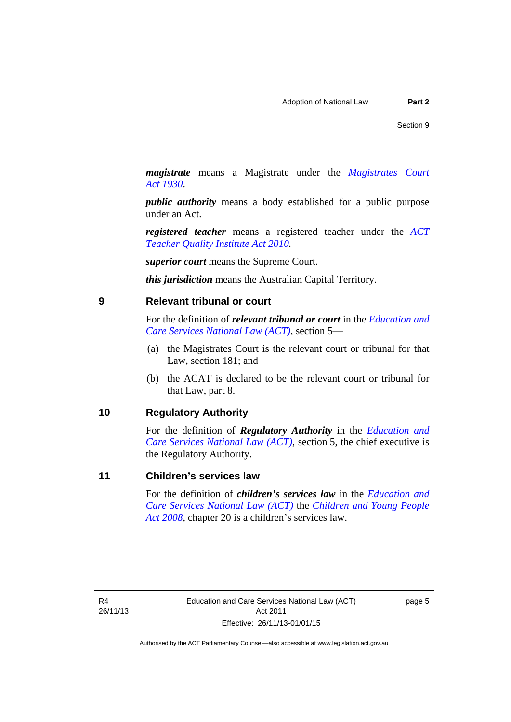*magistrate* means a Magistrate under the *[Magistrates Court](http://www.legislation.act.gov.au/a/1930-21)  [Act 1930](http://www.legislation.act.gov.au/a/1930-21)*.

*public authority* means a body established for a public purpose under an Act.

*registered teacher* means a registered teacher under the *[ACT](http://www.legislation.act.gov.au/a/2010-55)  [Teacher Quality Institute Act 2010.](http://www.legislation.act.gov.au/a/2010-55)*

*superior court* means the Supreme Court.

*this jurisdiction* means the Australian Capital Territory.

#### <span id="page-8-0"></span>**9 Relevant tribunal or court**

For the definition of *relevant tribunal or court* in the *[Education and](http://www.legislation.act.gov.au/a/db_44782/default.asp)  [Care Services National Law \(ACT\)](http://www.legislation.act.gov.au/a/db_44782/default.asp)*, section 5—

- (a) the Magistrates Court is the relevant court or tribunal for that Law, section 181; and
- (b) the ACAT is declared to be the relevant court or tribunal for that Law, part 8.

#### <span id="page-8-1"></span>**10 Regulatory Authority**

For the definition of *Regulatory Authority* in the *[Education and](http://www.legislation.act.gov.au/a/db_44782/default.asp)  [Care Services National Law \(ACT\)](http://www.legislation.act.gov.au/a/db_44782/default.asp)*, section 5, the chief executive is the Regulatory Authority.

#### <span id="page-8-2"></span>**11 Children's services law**

For the definition of *children's services law* in the *[Education and](http://www.legislation.act.gov.au/a/db_44782/default.asp)  [Care Services National Law \(ACT\)](http://www.legislation.act.gov.au/a/db_44782/default.asp)* the *[Children and Young People](http://www.legislation.act.gov.au/a/2008-19)  [Act 2008](http://www.legislation.act.gov.au/a/2008-19)*, chapter 20 is a children's services law.

page 5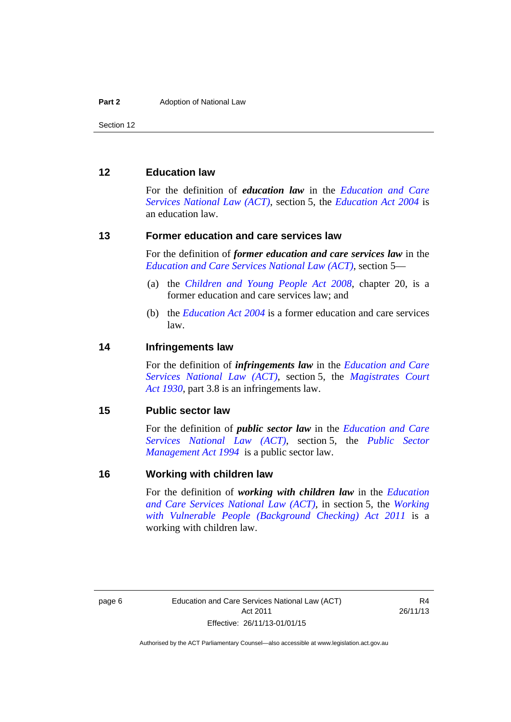#### <span id="page-9-0"></span>**12 Education law**

For the definition of *education law* in the *[Education and Care](http://www.legislation.act.gov.au/a/db_44782/default.asp)  [Services National Law \(ACT\)](http://www.legislation.act.gov.au/a/db_44782/default.asp)*, section 5, the *[Education Act 2004](http://www.legislation.act.gov.au/a/2004-17)* is an education law.

#### <span id="page-9-1"></span>**13 Former education and care services law**

For the definition of *former education and care services law* in the *[Education and Care Services National Law \(ACT\)](http://www.legislation.act.gov.au/a/db_44782/default.asp)*, section 5—

- (a) the *[Children and Young People Act 2008](http://www.legislation.act.gov.au/a/2008-19)*, chapter 20, is a former education and care services law; and
- (b) the *[Education Act 2004](http://www.legislation.act.gov.au/a/2004-17)* is a former education and care services law.

#### <span id="page-9-2"></span>**14 Infringements law**

For the definition of *infringements law* in the *[Education and Care](http://www.legislation.act.gov.au/a/db_44782/default.asp)  [Services National Law \(ACT\)](http://www.legislation.act.gov.au/a/db_44782/default.asp)*, section 5, the *[Magistrates Court](http://www.legislation.act.gov.au/a/1930-21)  [Act 1930](http://www.legislation.act.gov.au/a/1930-21)*, part 3.8 is an infringements law.

#### <span id="page-9-3"></span>**15 Public sector law**

For the definition of *public sector law* in the *[Education and Care](http://www.legislation.act.gov.au/a/db_44782/default.asp)  [Services National Law \(ACT\)](http://www.legislation.act.gov.au/a/db_44782/default.asp)*, section 5, the *[Public Sector](http://www.legislation.act.gov.au/a/1994-37)  [Management Act 1994](http://www.legislation.act.gov.au/a/1994-37)* is a public sector law.

#### <span id="page-9-4"></span>**16 Working with children law**

For the definition of *working with children law* in the *[Education](http://www.legislation.act.gov.au/a/db_44782/default.asp)  [and Care Services National Law \(ACT\)](http://www.legislation.act.gov.au/a/db_44782/default.asp)*, in section 5, the *[Working](http://www.legislation.act.gov.au/a/2011-44)  [with Vulnerable People \(Background Checking\) Act 2011](http://www.legislation.act.gov.au/a/2011-44)* is a working with children law.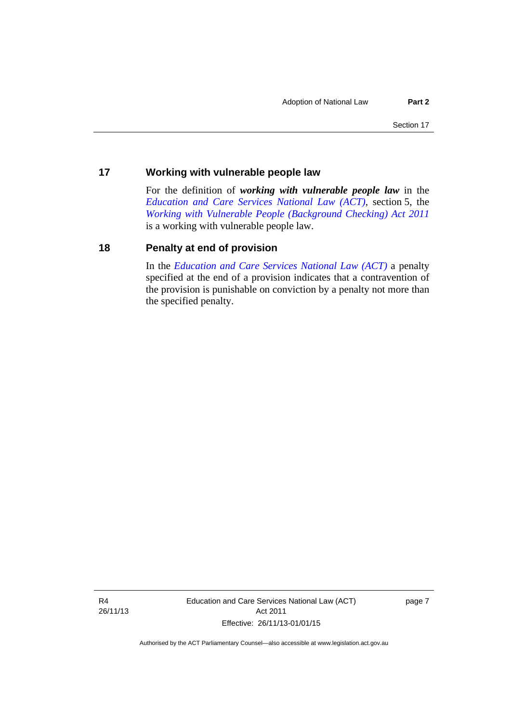#### <span id="page-10-0"></span>**17 Working with vulnerable people law**

For the definition of *working with vulnerable people law* in the *[Education and Care Services National Law \(ACT\)](http://www.legislation.act.gov.au/a/db_44782/default.asp)*, section 5, the *[Working with Vulnerable People \(Background Checking\) Act 2011](http://www.legislation.act.gov.au/a/2011-44)* is a working with vulnerable people law.

#### <span id="page-10-1"></span>**18 Penalty at end of provision**

In the *[Education and Care Services National Law \(ACT\)](http://www.legislation.act.gov.au/a/db_44782/default.asp)* a penalty specified at the end of a provision indicates that a contravention of the provision is punishable on conviction by a penalty not more than the specified penalty.

R4 26/11/13 Education and Care Services National Law (ACT) Act 2011 Effective: 26/11/13-01/01/15

page 7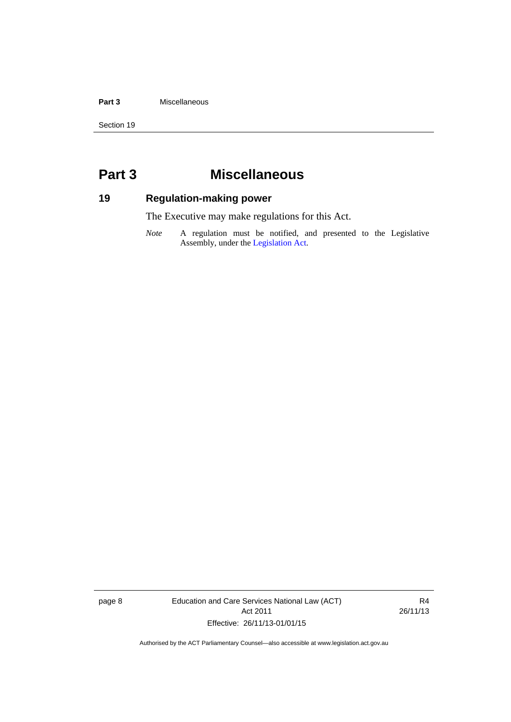#### **Part 3** Miscellaneous

Section 19

# <span id="page-11-0"></span>**Part 3 Miscellaneous**

# <span id="page-11-1"></span>**19 Regulation-making power**

The Executive may make regulations for this Act.

*Note* A regulation must be notified, and presented to the Legislative Assembly, under the [Legislation Act](http://www.legislation.act.gov.au/a/2001-14).

page 8 Education and Care Services National Law (ACT) Act 2011 Effective: 26/11/13-01/01/15

R4 26/11/13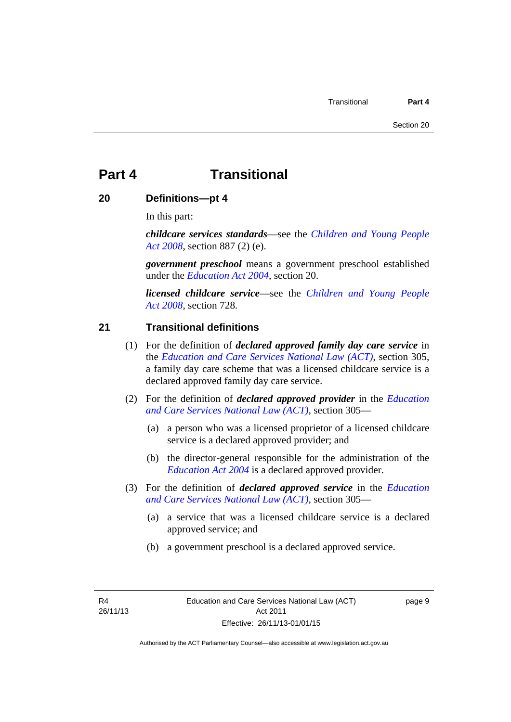# <span id="page-12-0"></span>**Part 4 Transitional**

#### <span id="page-12-1"></span>**20 Definitions—pt 4**

In this part:

*childcare services standards*—see the *[Children and Young People](http://www.legislation.act.gov.au/a/2008-19)  [Act 2008](http://www.legislation.act.gov.au/a/2008-19)*, section 887 (2) (e).

*government preschool* means a government preschool established under the *[Education Act 2004](http://www.legislation.act.gov.au/a/2004-17)*, section 20.

*licensed childcare service*—see the *[Children and Young People](http://www.legislation.act.gov.au/a/2008-19)  [Act 2008](http://www.legislation.act.gov.au/a/2008-19),* section 728*.*

#### <span id="page-12-2"></span>**21 Transitional definitions**

- (1) For the definition of *declared approved family day care service* in the *[Education and Care Services National Law \(ACT\)](http://www.legislation.act.gov.au/a/db_44782/default.asp)*, section 305, a family day care scheme that was a licensed childcare service is a declared approved family day care service.
- (2) For the definition of *declared approved provider* in the *[Education](http://www.legislation.act.gov.au/a/db_44782/default.asp)  [and Care Services National Law \(ACT\)](http://www.legislation.act.gov.au/a/db_44782/default.asp)*, section 305—
	- (a) a person who was a licensed proprietor of a licensed childcare service is a declared approved provider; and
	- (b) the director-general responsible for the administration of the *[Education Act 2004](http://www.legislation.act.gov.au/a/2004-17)* is a declared approved provider.
- (3) For the definition of *declared approved service* in the *[Education](http://www.legislation.act.gov.au/a/db_44782/default.asp)  [and Care Services National Law \(ACT\)](http://www.legislation.act.gov.au/a/db_44782/default.asp)*, section 305—
	- (a) a service that was a licensed childcare service is a declared approved service; and
	- (b) a government preschool is a declared approved service.

R4 26/11/13 page 9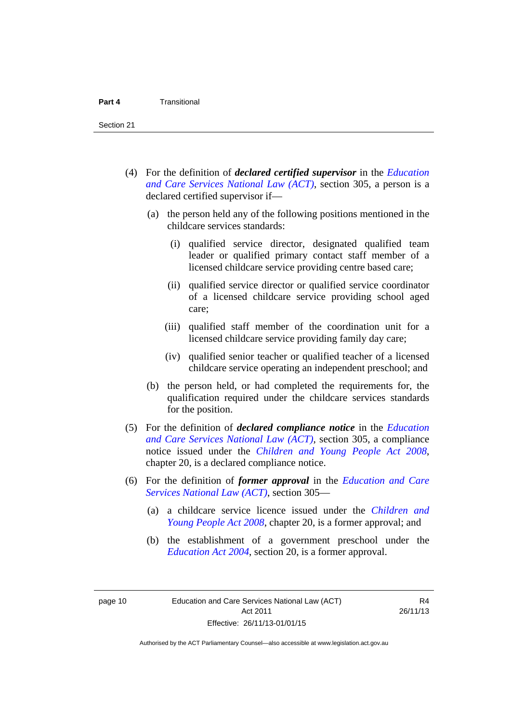- (4) For the definition of *declared certified supervisor* in the *[Education](http://www.legislation.act.gov.au/a/db_44782/default.asp)  [and Care Services National Law \(ACT\)](http://www.legislation.act.gov.au/a/db_44782/default.asp)*, section 305, a person is a declared certified supervisor if—
	- (a) the person held any of the following positions mentioned in the childcare services standards:
		- (i) qualified service director, designated qualified team leader or qualified primary contact staff member of a licensed childcare service providing centre based care;
		- (ii) qualified service director or qualified service coordinator of a licensed childcare service providing school aged care;
		- (iii) qualified staff member of the coordination unit for a licensed childcare service providing family day care;
		- (iv) qualified senior teacher or qualified teacher of a licensed childcare service operating an independent preschool; and
	- (b) the person held, or had completed the requirements for, the qualification required under the childcare services standards for the position.
- (5) For the definition of *declared compliance notice* in the *[Education](http://www.legislation.act.gov.au/a/db_44782/default.asp)  [and Care Services National Law \(ACT\)](http://www.legislation.act.gov.au/a/db_44782/default.asp)*, section 305, a compliance notice issued under the *[Children and Young People Act 2008](http://www.legislation.act.gov.au/a/2008-19)*, chapter 20, is a declared compliance notice.
- (6) For the definition of *former approval* in the *[Education and Care](http://www.legislation.act.gov.au/a/db_44782/default.asp)  [Services National Law \(ACT\)](http://www.legislation.act.gov.au/a/db_44782/default.asp)*, section 305—
	- (a) a childcare service licence issued under the *[Children and](http://www.legislation.act.gov.au/a/2008-19)  [Young People Act 2008](http://www.legislation.act.gov.au/a/2008-19)*, chapter 20, is a former approval; and
	- (b) the establishment of a government preschool under the *[Education Act 2004](http://www.legislation.act.gov.au/a/2004-17)*, section 20, is a former approval.

page 10 Education and Care Services National Law (ACT) Act 2011 Effective: 26/11/13-01/01/15

R4 26/11/13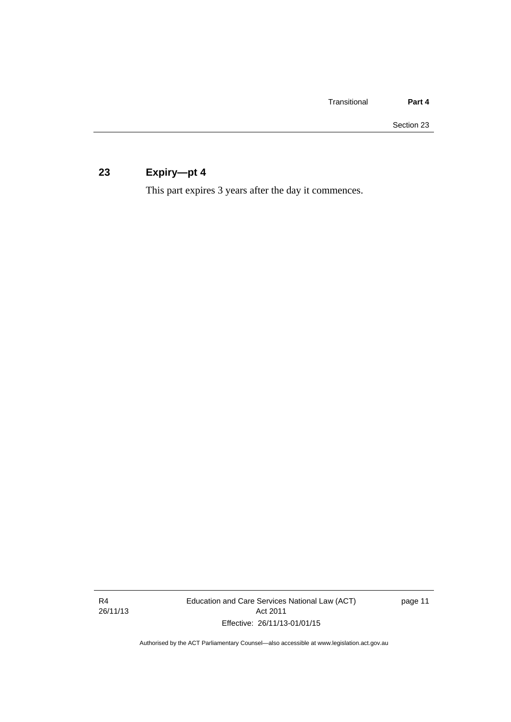# <span id="page-14-0"></span>**23 Expiry—pt 4**

This part expires 3 years after the day it commences.

R4 26/11/13 Education and Care Services National Law (ACT) Act 2011 Effective: 26/11/13-01/01/15

page 11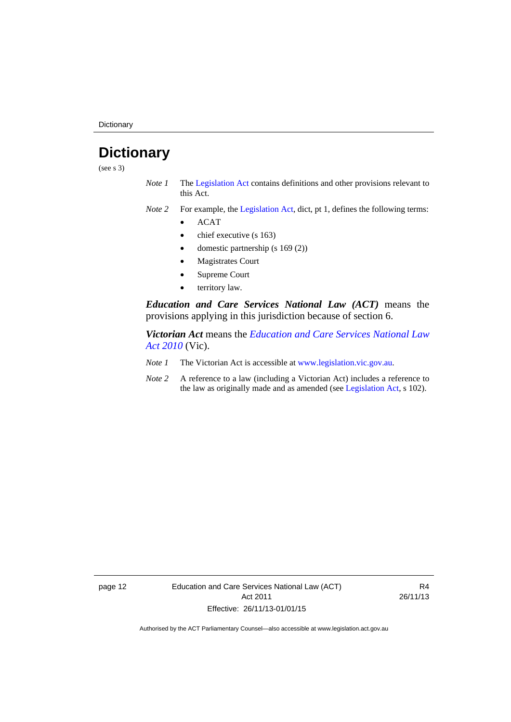**Dictionary** 

# <span id="page-15-0"></span>**Dictionary**

(see s 3)

- *Note 1* The [Legislation Act](http://www.legislation.act.gov.au/a/2001-14) contains definitions and other provisions relevant to this Act.
- *Note 2* For example, the [Legislation Act,](http://www.legislation.act.gov.au/a/2001-14) dict, pt 1, defines the following terms:
	- ACAT
	- chief executive (s 163)
	- domestic partnership (s 169 (2))
	- Magistrates Court
	- Supreme Court
	- territory law.

*Education and Care Services National Law (ACT)* means the provisions applying in this jurisdiction because of section 6.

*Victorian Act* means the *[Education and Care Services National Law](http://www.legislation.vic.gov.au/)  [Act 2010](http://www.legislation.vic.gov.au/)* (Vic).

- *Note 1* The Victorian Act is accessible at [www.legislation.vic.gov.au](http://www.legislation.vic.gov.au/).
- *Note 2* A reference to a law (including a Victorian Act) includes a reference to the law as originally made and as amended (see [Legislation Act,](http://www.legislation.act.gov.au/a/2001-14) s 102).

page 12 Education and Care Services National Law (ACT) Act 2011 Effective: 26/11/13-01/01/15

R4 26/11/13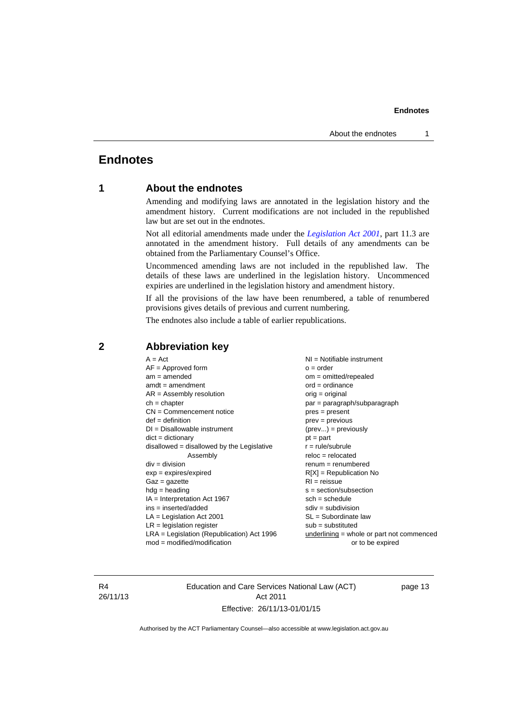#### **Endnotes**

### <span id="page-16-0"></span>**Endnotes**

#### **1 About the endnotes**

Amending and modifying laws are annotated in the legislation history and the amendment history. Current modifications are not included in the republished law but are set out in the endnotes.

Not all editorial amendments made under the *[Legislation Act 2001](http://www.legislation.act.gov.au/a/2001-14)*, part 11.3 are annotated in the amendment history. Full details of any amendments can be obtained from the Parliamentary Counsel's Office.

Uncommenced amending laws are not included in the republished law. The details of these laws are underlined in the legislation history. Uncommenced expiries are underlined in the legislation history and amendment history.

If all the provisions of the law have been renumbered, a table of renumbered provisions gives details of previous and current numbering.

The endnotes also include a table of earlier republications.

| $A = Act$<br>$AF =$ Approved form<br>$am = amended$<br>$amdt = amendment$<br>$AR = Assembly resolution$<br>$ch = chapter$<br>$CN =$ Commencement notice<br>$def = definition$<br>$DI = Disallowable instrument$<br>$dict = dictionary$<br>disallowed = disallowed by the Legislative<br>Assembly<br>$div = division$<br>$exp = expires/expired$<br>$Gaz = gazette$<br>$hdg =$ heading<br>$IA = Interpretation Act 1967$<br>$ins = inserted/added$<br>$LA =$ Legislation Act 2001<br>$LR =$ legislation register<br>$LRA =$ Legislation (Republication) Act 1996 | NI = Notifiable instrument<br>$o = order$<br>$om = omitted/repealed$<br>$ord = ordinance$<br>$orig = original$<br>par = paragraph/subparagraph<br>$pres = present$<br>$prev = previous$<br>$(\text{prev}) = \text{previously}$<br>$pt = part$<br>$r = rule/subrule$<br>$reloc = relocated$<br>$remum = renumbered$<br>$R[X]$ = Republication No<br>$RI = reissue$<br>$s = section/subsection$<br>$sch = schedule$<br>$sdiv = subdivision$<br>$SL = Subordinate$ law<br>$sub =$ substituted<br>$underlining = whole or part not commenced$ |
|-----------------------------------------------------------------------------------------------------------------------------------------------------------------------------------------------------------------------------------------------------------------------------------------------------------------------------------------------------------------------------------------------------------------------------------------------------------------------------------------------------------------------------------------------------------------|-------------------------------------------------------------------------------------------------------------------------------------------------------------------------------------------------------------------------------------------------------------------------------------------------------------------------------------------------------------------------------------------------------------------------------------------------------------------------------------------------------------------------------------------|
| $mod = modified/modification$                                                                                                                                                                                                                                                                                                                                                                                                                                                                                                                                   | or to be expired                                                                                                                                                                                                                                                                                                                                                                                                                                                                                                                          |
|                                                                                                                                                                                                                                                                                                                                                                                                                                                                                                                                                                 |                                                                                                                                                                                                                                                                                                                                                                                                                                                                                                                                           |

#### <span id="page-16-2"></span>**2 Abbreviation key**

R4 26/11/13 Education and Care Services National Law (ACT) Act 2011 Effective: 26/11/13-01/01/15

page 13

<span id="page-16-1"></span>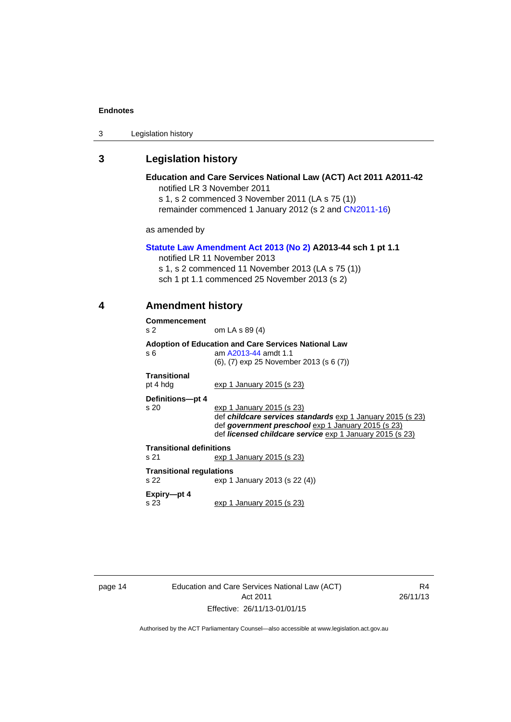#### **Endnotes**

#### <span id="page-17-0"></span>**3 Legislation history**

as amended by

#### **Education and Care Services National Law (ACT) Act 2011 A2011-42**  notified LR 3 November 2011

s 1, s 2 commenced 3 November 2011 (LA s 75 (1)) remainder commenced 1 January 2012 (s 2 and [CN2011-16\)](http://www.legislation.act.gov.au/cn/2011-16/default.asp)

# **[Statute Law Amendment Act 2013 \(No 2\)](http://www.legislation.act.gov.au/a/2013-44) A2013-44 sch 1 pt 1.1**

notified LR 11 November 2013

s 1, s 2 commenced 11 November 2013 (LA s 75 (1))

sch 1 pt 1.1 commenced 25 November 2013 (s 2)

#### **4 Amendment history**

| <b>Commencement</b>             |                                                                                                                                |  |  |
|---------------------------------|--------------------------------------------------------------------------------------------------------------------------------|--|--|
| s <sub>2</sub>                  | om LA s 89 (4)                                                                                                                 |  |  |
| s 6                             | <b>Adoption of Education and Care Services National Law</b><br>am A2013-44 amdt 1.1<br>(6), (7) exp 25 November 2013 (s 6 (7)) |  |  |
| <b>Transitional</b><br>pt 4 hdg | exp 1 January 2015 (s 23)                                                                                                      |  |  |
| Definitions-pt 4                |                                                                                                                                |  |  |
| s 20                            | exp 1 January 2015 (s 23)<br>def childcare services standards exp 1 January 2015 (s 23)                                        |  |  |
|                                 | def government preschool exp 1 January 2015 (s 23)<br>def <i>licensed childcare service</i> exp 1 January 2015 (s 23)          |  |  |
| <b>Transitional definitions</b> |                                                                                                                                |  |  |
| s 21                            | exp 1 January 2015 (s 23)                                                                                                      |  |  |
| <b>Transitional regulations</b> |                                                                                                                                |  |  |
| S <sub>22</sub>                 | exp 1 January 2013 (s 22 (4))                                                                                                  |  |  |
| Expiry-pt 4<br>s 23             | exp 1 January 2015 (s 23)                                                                                                      |  |  |

page 14 Education and Care Services National Law (ACT) Act 2011 Effective: 26/11/13-01/01/15

R4 26/11/13